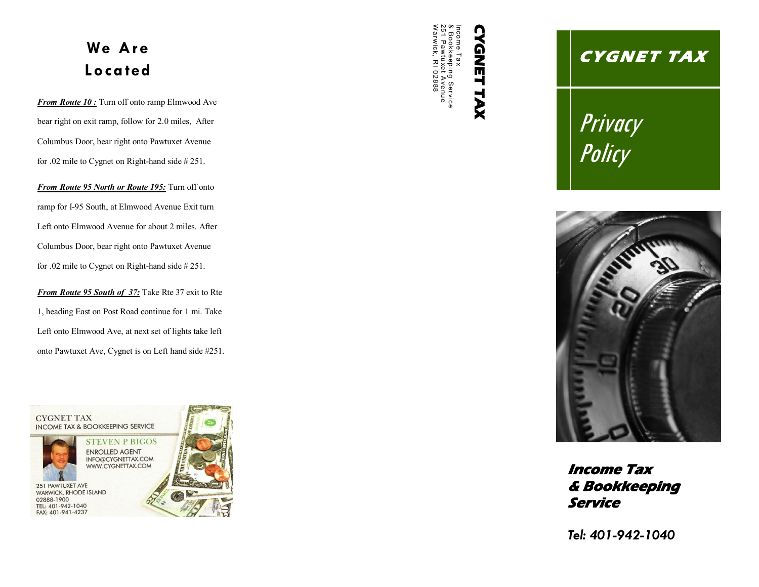## **We Are Loca ted**

*From Route 10 :* Turn off onto ramp Elmwood Ave bear right on exit ramp, follow for 2.0 miles, After Columbus Door, bear right onto Pawtuxet Avenue for .02 mile to Cygnet on Right-hand side # 251.

*From Route 95 North or Route 195:* Turn off onto ramp for I-95 South, at Elmwood Avenue Exit turn Left onto Elmwood Avenue for about 2 miles. After Columbus Door, bear right onto Pawtuxet Avenue for .02 mile to Cygnet on Right-hand side # 251.

*From Route 95 South of 37:* Take Rte 37 exit to Rte 1, heading East on Post Road continue for 1 mi. Take Left onto Elmwood Ave, at next set of lights take left onto Pawtuxet Ave, Cygnet is on Left hand side #251.



W251 Pawtuxet Avenue & BookkeepiIncome T**CYGNET TAX CYGNET** arwick, RR102888  $_\infty^{\infty}$ I 02888 ng SerTAX vice

# **C Y GNE T T AX**

Privacy Policy



**Income Tax & Bookkeeping Service** 

*Tel: 401-942-1040*